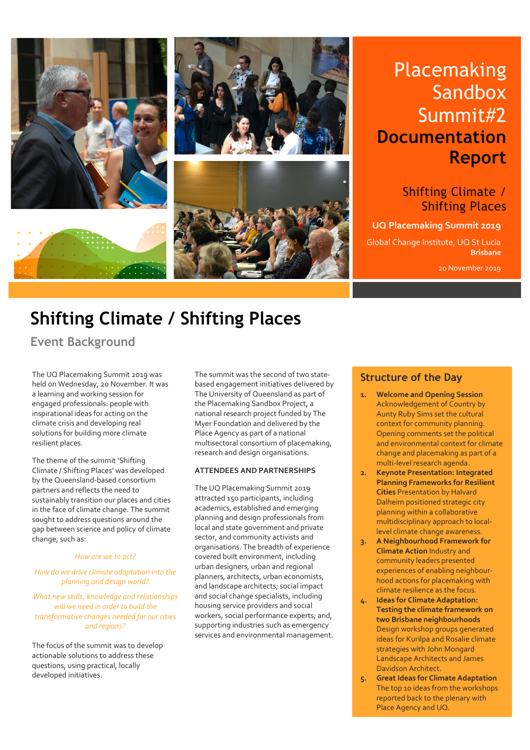

# Placemaking Sandbox Summit#2 **Documentation Report**

## Shifting Climate / Shifting Places

**UQ Placemaking Summit 2019**

Global Change Institute, UQ St Lucia **Brisbane**

20 November 2019

## **Shifting Climate / Shifting Places**

**Event Background**

The UQ Placemaking Summit 2019 was held on Wednesday, 20 November. It was a learning and working session for engaged professionals: people with inspirational ideas for acting on the climate crisis and developing real solutions for building more climate resilient places.

The theme of the summit 'Shifting Climate / Shifting Places' was developed by the Queensland-based consortium partners and reflects the need to sustainably transition our places and cities in the face of climate change. The summit sought to address questions around the gap between science and policy of climate change, such as:

## *How are we to act?*

*How do we drive climate adaptation into the planning and design world?*

*What new skills, knowledge and relationships will we need in order to build the transformative changes needed for our cities and regions?*

The focus of the summit was to develop actionable solutions to address these questions, using practical, locally developed initiatives.

The summit was the second of two statebased engagement initiatives delivered by The University of Queensland as part of the Placemaking Sandbox Project, a national research project funded by The Myer Foundation and delivered by the Place Agency as part of a national multisectoral consortium of placemaking, research and design organisations.

## **ATTENDEES AND PARTNERSHIPS**

The UQ Placemaking Summit 2019 attracted 150 participants, including academics, established and emerging planning and design professionals from local and state government and private sector, and community activists and organisations. The breadth of experience covered built environment, including urban designers, urban and regional planners, architects, urban economists, and landscape architects; social impact and social change specialists, including housing service providers and social workers, social performance experts; and, supporting industries such as emergency services and environmental management.

## **Structure of the Day**

- **1. Welcome and Opening Session** Acknowledgement of Country by Aunty Ruby Sims set the cultural context for community planning. Opening comments set the political and environmental context for climate change and placemaking as part of a multi-level research agenda.
- **2. Keynote Presentation: Integrated Planning Frameworks for Resilient Cities** Presentation by Halvard Dalheim positioned strategic city planning within a collaborative multidisciplinary approach to locallevel climate change awareness.
- **3. A Neighbourhood Framework for Climate Action** Industry and community leaders presented experiences of enabling neighbourhood actions for placemaking with climate resilience as the focus.
- **4. Ideas for Climate Adaptation: Testing the climate framework on two Brisbane neighbourhoods**  Design workshop groups generated ideas for Kurilpa and Rosalie climate strategies with John Mongard Landscape Architects and James Davidson Architect.
- **5. Great Ideas for Climate Adaptation** The top 10 ideas from the workshops reported back to the plenary with Place Agency and UQ.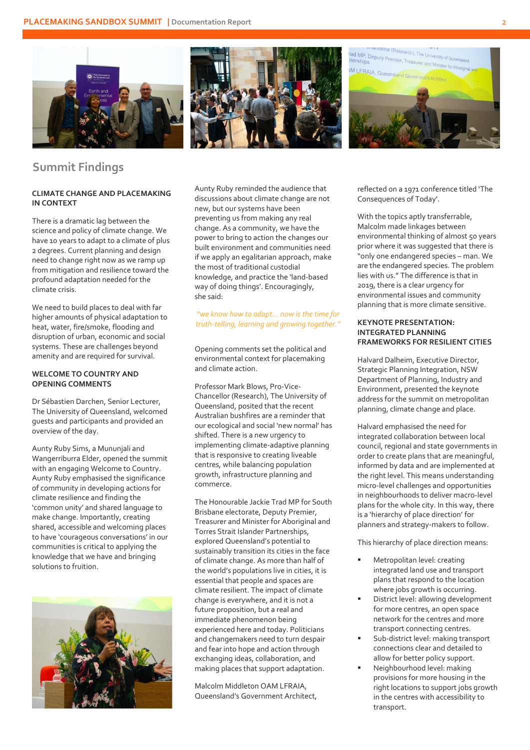





**Summit Findings**

## **CLIMATE CHANGE AND PLACEMAKING IN CONTEXT**

There is a dramatic lag between the science and policy of climate change. We have 10 years to adapt to a climate of plus 2 degrees. Current planning and design need to change right now as we ramp up from mitigation and resilience toward the profound adaptation needed for the climate crisis.

We need to build places to deal with far higher amounts of physical adaptation to heat, water, fire/smoke, flooding and disruption of urban, economic and social systems. These are challenges beyond amenity and are required for survival.

## **WELCOME TO COUNTRY AND OPENING COMMENTS**

Dr Sébastien Darchen, Senior Lecturer, The University of Queensland, welcomed guests and participants and provided an overview of the day.

Aunty Ruby Sims, a Mununjali and Wangerriburra Elder, opened the summit with an engaging Welcome to Country. Aunty Ruby emphasised the significance of community in developing actions for climate resilience and finding the 'common unity' and shared language to make change. Importantly, creating shared, accessible and welcoming places to have 'courageous conversations' in our communities is critical to applying the knowledge that we have and bringing solutions to fruition.



Aunty Ruby reminded the audience that discussions about climate change are not new, but our systems have been preventing us from making any real change. As a community, we have the power to bring to action the changes our built environment and communities need if we apply an egalitarian approach, make the most of traditional custodial knowledge, and practice the 'land-based way of doing things'. Encouragingly, she said:

## *"we know how to adapt… now is the time for truth-telling, learning and growing together."*

Opening comments set the political and environmental context for placemaking and climate action.

Professor Mark Blows, Pro-Vice-Chancellor (Research), The University of Queensland, posited that the recent Australian bushfires are a reminder that our ecological and social 'new normal' has shifted. There is a new urgency to implementing climate-adaptive planning that is responsive to creating liveable centres, while balancing population growth, infrastructure planning and commerce.

The Honourable Jackie Trad MP for South Brisbane electorate, Deputy Premier, Treasurer and Minister for Aboriginal and Torres Strait Islander Partnerships, explored Queensland's potential to sustainably transition its cities in the face of climate change. As more than half of the world's populations live in cities, it is essential that people and spaces are climate resilient. The impact of climate change is everywhere, and it is not a future proposition, but a real and immediate phenomenon being experienced here and today. Politicians and changemakers need to turn despair and fear into hope and action through exchanging ideas, collaboration, and making places that support adaptation.

Malcolm Middleton OAM LFRAIA, Queensland's Government Architect, reflected on a 1971 conference titled 'The Consequences of Today'.

With the topics aptly transferrable, Malcolm made linkages between environmental thinking of almost 50 years prior where it was suggested that there is "only one endangered species – man. We are the endangered species. The problem lies with us." The difference is that in 2019, there is a clear urgency for environmental issues and community planning that is more climate sensitive.

## **KEYNOTE PRESENTATION: INTEGRATED PLANNING FRAMEWORKS FOR RESILIENT CITIES**

Halvard Dalheim, Executive Director, Strategic Planning Integration, NSW Department of Planning, Industry and Environment, presented the keynote address for the summit on metropolitan planning, climate change and place.

Halvard emphasised the need for integrated collaboration between local council, regional and state governments in order to create plans that are meaningful, informed by data and are implemented at the right level. This means understanding micro-level challenges and opportunities in neighbourhoods to deliver macro-level plans for the whole city. In this way, there is a 'hierarchy of place direction' for planners and strategy-makers to follow.

This hierarchy of place direction means:

- Metropolitan level: creating integrated land use and transport plans that respond to the location where jobs growth is occurring.
- District level: allowing development for more centres, an open space network for the centres and more transport connecting centres.
- Sub-district level: making transport connections clear and detailed to allow for better policy support.
- Neighbourhood level: making provisions for more housing in the right locations to support jobs growth in the centres with accessibility to transport.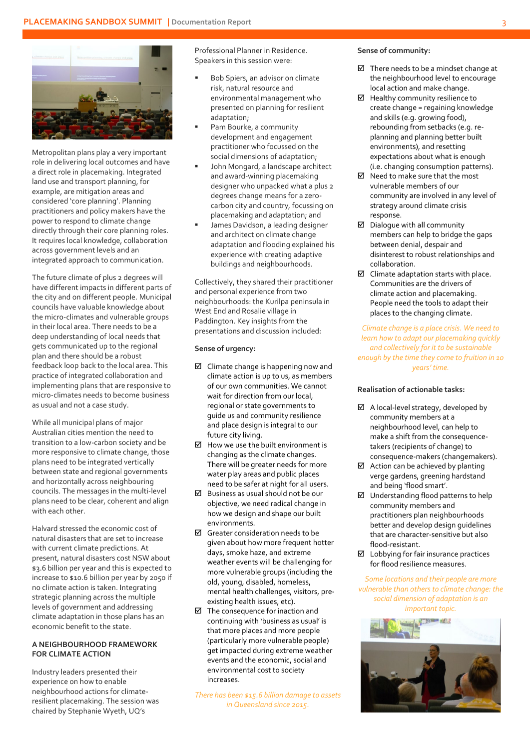

Metropolitan plans play a very important role in delivering local outcomes and have a direct role in placemaking. Integrated land use and transport planning, for example, are mitigation areas and considered 'core planning'. Planning practitioners and policy makers have the power to respond to climate change directly through their core planning roles. It requires local knowledge, collaboration across government levels and an integrated approach to communication.

The future climate of plus 2 degrees will have different impacts in different parts of the city and on different people. Municipal councils have valuable knowledge about the micro-climates and vulnerable groups in their local area. There needs to be a deep understanding of local needs that gets communicated up to the regional plan and there should be a robust feedback loop back to the local area. This practice of integrated collaboration and implementing plans that are responsive to micro-climates needs to become business as usual and not a case study.

While all municipal plans of major Australian cities mention the need to transition to a low-carbon society and be more responsive to climate change, those plans need to be integrated vertically between state and regional governments and horizontally across neighbouring councils. The messages in the multi-level plans need to be clear, coherent and align with each other.

Halvard stressed the economic cost of natural disasters that are set to increase with current climate predictions. At present, natural disasters cost NSW about \$3.6 billion per year and this is expected to increase to \$10.6 billion per year by 2050 if no climate action is taken. Integrating strategic planning across the multiple levels of government and addressing climate adaptation in those plans has an economic benefit to the state.

## **A NEIGHBOURHOOD FRAMEWORK FOR CLIMATE ACTION**

Industry leaders presented their experience on how to enable neighbourhood actions for climateresilient placemaking. The session was chaired by Stephanie Wyeth, UQ's

Professional Planner in Residence. Speakers in this session were:

- Bob Spiers, an advisor on climate risk, natural resource and environmental management who presented on planning for resilient adaptation;
- Pam Bourke, a community development and engagement practitioner who focussed on the social dimensions of adaptation;
- John Mongard, a landscape architect and award-winning placemaking designer who unpacked what a plus 2 degrees change means for a zerocarbon city and country, focussing on placemaking and adaptation; and
- James Davidson, a leading designer and architect on climate change adaptation and flooding explained his experience with creating adaptive buildings and neighbourhoods.

Collectively, they shared their practitioner and personal experience from two neighbourhoods: the Kurilpa peninsula in West End and Rosalie village in Paddington. Key insights from the presentations and discussion included:

## **Sense of urgency:**

- $\boxtimes$  Climate change is happening now and climate action is up to us, as members of our own communities. We cannot wait for direction from our local, regional or state governments to guide us and community resilience and place design is integral to our future city living.
- $\boxtimes$  How we use the built environment is changing as the climate changes. There will be greater needs for more water play areas and public places need to be safer at night for all users.
- $\boxtimes$  Business as usual should not be our objective, we need radical change in how we design and shape our built environments.
- $\boxtimes$  Greater consideration needs to be given about how more frequent hotter days, smoke haze, and extreme weather events will be challenging for more vulnerable groups (including the old, young, disabled, homeless, mental health challenges, visitors, preexisting health issues, etc).
- $\boxtimes$  The consequence for inaction and continuing with 'business as usual' is that more places and more people (particularly more vulnerable people) get impacted during extreme weather events and the economic, social and environmental cost to society increases.

*There has been \$15.6 billion damage to assets in Queensland since 2015.*

## **Sense of community:**

- $\boxtimes$  There needs to be a mindset change at the neighbourhood level to encourage local action and make change.
- $\boxtimes$  Healthy community resilience to create change = regaining knowledge and skills (e.g. growing food), rebounding from setbacks (e.g. replanning and planning better built environments), and resetting expectations about what is enough (i.e. changing consumption patterns).
- $\boxtimes$  Need to make sure that the most vulnerable members of our community are involved in any level of strategy around climate crisis response.
- $\boxtimes$  Dialogue with all community members can help to bridge the gaps between denial, despair and disinterest to robust relationships and collaboration.
- $\boxtimes$  Climate adaptation starts with place. Communities are the drivers of climate action and placemaking. People need the tools to adapt their places to the changing climate.

*Climate change is a place crisis. We need to learn how to adapt our placemaking quickly and collectively for it to be sustainable enough by the time they come to fruition in 10 years' time.*

## **Realisation of actionable tasks:**

- $\boxtimes$  A local-level strategy, developed by community members at a neighbourhood level, can help to make a shift from the consequencetakers (recipients of change) to consequence-makers (changemakers).
- $\boxtimes$  Action can be achieved by planting verge gardens, greening hardstand and being 'flood smart'.
- $\boxtimes$  Understanding flood patterns to help community members and practitioners plan neighbourhoods better and develop design guidelines that are character-sensitive but also flood-resistant.
- Lobbying for fair insurance practices for flood resilience measures.

## *Some locations and their people are more vulnerable than others to climate change: the social dimension of adaptation is an important topic.*

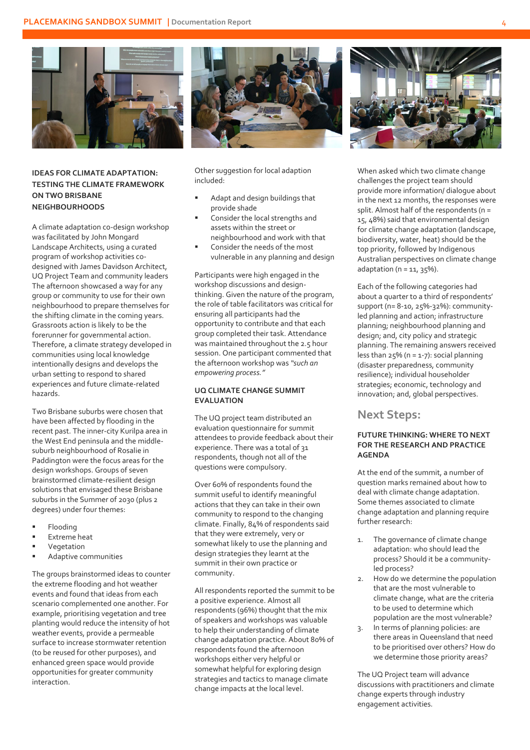

## **IDEAS FOR CLIMATE ADAPTATION: TESTING THE CLIMATE FRAMEWORK ON TWO BRISBANE NEIGHBOURHOODS**

A climate adaptation co-design workshop was facilitated by John Mongard Landscape Architects, using a curated program of workshop activities codesigned with James Davidson Architect, UQ Project Team and community leaders The afternoon showcased a way for any group or community to use for their own neighbourhood to prepare themselves for the shifting climate in the coming years. Grassroots action is likely to be the forerunner for governmental action. Therefore, a climate strategy developed in communities using local knowledge intentionally designs and develops the urban setting to respond to shared experiences and future climate-related hazards.

Two Brisbane suburbs were chosen that have been affected by flooding in the recent past. The inner-city Kurilpa area in the West End peninsula and the middlesuburb neighbourhood of Rosalie in Paddington were the focus areas for the design workshops. Groups of seven brainstormed climate-resilient design solutions that envisaged these Brisbane suburbs in the Summer of 2030 (plus 2 degrees) under four themes:

- Flooding
- Extreme heat
- Vegetation
- Adaptive communities

The groups brainstormed ideas to counter the extreme flooding and hot weather events and found that ideas from each scenario complemented one another. For example, prioritising vegetation and tree planting would reduce the intensity of hot weather events, provide a permeable surface to increase stormwater retention (to be reused for other purposes), and enhanced green space would provide opportunities for greater community interaction.



Other suggestion for local adaption included:

- Adapt and design buildings that provide shade
- Consider the local strengths and assets within the street or neighbourhood and work with that
- Consider the needs of the most vulnerable in any planning and design

Participants were high engaged in the workshop discussions and designthinking. Given the nature of the program, the role of table facilitators was critical for ensuring all participants had the opportunity to contribute and that each group completed their task. Attendance was maintained throughout the 2.5 hour session. One participant commented that the afternoon workshop was *"such an empowering process."*

## **UQ CLIMATE CHANGE SUMMIT EVALUATION**

The UQ project team distributed an evaluation questionnaire for summit attendees to provide feedback about their experience. There was a total of 31 respondents, though not all of the questions were compulsory.

Over 60% of respondents found the summit useful to identify meaningful actions that they can take in their own community to respond to the changing climate. Finally, 84% of respondents said that they were extremely, very or somewhat likely to use the planning and design strategies they learnt at the summit in their own practice or community.

All respondents reported the summit to be a positive experience. Almost all respondents (96%) thought that the mix of speakers and workshops was valuable to help their understanding of climate change adaptation practice. About 80% of respondents found the afternoon workshops either very helpful or somewhat helpful for exploring design strategies and tactics to manage climate change impacts at the local level.



When asked which two climate change challenges the project team should provide more information/ dialogue about in the next 12 months, the responses were split. Almost half of the respondents (n = 15, 48%) said that environmental design for climate change adaptation (landscape, biodiversity, water, heat) should be the top priority, followed by Indigenous Australian perspectives on climate change adaptation ( $n = 11$ ,  $35\%$ ).

Each of the following categories had about a quarter to a third of respondents' support (n= 8-10, 25%-32%): communityled planning and action; infrastructure planning; neighbourhood planning and design; and, city policy and strategic planning. The remaining answers received less than  $25\%$  (n = 1-7): social planning (disaster preparedness, community resilience); individual householder strategies; economic, technology and innovation; and, global perspectives.

## **Next Steps:**

## **FUTURE THINKING: WHERE TO NEXT FOR THE RESEARCH AND PRACTICE AGENDA**

At the end of the summit, a number of question marks remained about how to deal with climate change adaptation. Some themes associated to climate change adaptation and planning require further research:

- 1. The governance of climate change adaptation: who should lead the process? Should it be a communityled process?
- 2. How do we determine the population that are the most vulnerable to climate change, what are the criteria to be used to determine which population are the most vulnerable?
- 3. In terms of planning policies: are there areas in Queensland that need to be prioritised over others? How do we determine those priority areas?

The UQ Project team will advance discussions with practitioners and climate change experts through industry engagement activities.